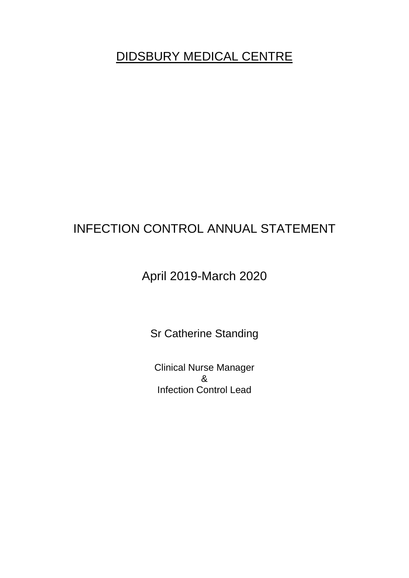# DIDSBURY MEDICAL CENTRE

# INFECTION CONTROL ANNUAL STATEMENT

# April 2019-March 2020

Sr Catherine Standing

Clinical Nurse Manager & Infection Control Lead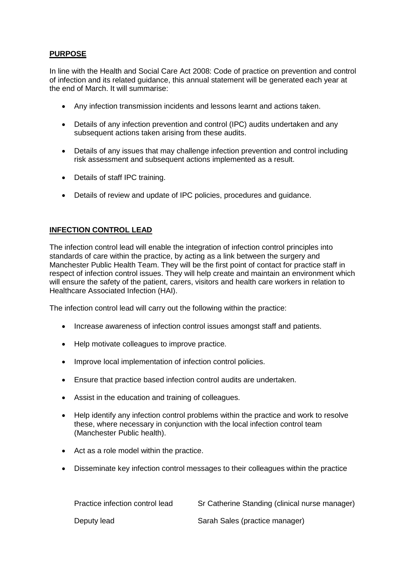## **PURPOSE**

In line with the Health and Social Care Act 2008: Code of practice on prevention and control of infection and its related guidance, this annual statement will be generated each year at the end of March. It will summarise:

- Any infection transmission incidents and lessons learnt and actions taken.
- Details of any infection prevention and control (IPC) audits undertaken and any subsequent actions taken arising from these audits.
- Details of any issues that may challenge infection prevention and control including risk assessment and subsequent actions implemented as a result.
- Details of staff IPC training.
- Details of review and update of IPC policies, procedures and guidance.

#### **INFECTION CONTROL LEAD**

The infection control lead will enable the integration of infection control principles into standards of care within the practice, by acting as a link between the surgery and Manchester Public Health Team. They will be the first point of contact for practice staff in respect of infection control issues. They will help create and maintain an environment which will ensure the safety of the patient, carers, visitors and health care workers in relation to Healthcare Associated Infection (HAI).

The infection control lead will carry out the following within the practice:

- Increase awareness of infection control issues amongst staff and patients.
- Help motivate colleagues to improve practice.
- Improve local implementation of infection control policies.
- Ensure that practice based infection control audits are undertaken.
- Assist in the education and training of colleagues.
- Help identify any infection control problems within the practice and work to resolve these, where necessary in conjunction with the local infection control team (Manchester Public health).
- Act as a role model within the practice.
- Disseminate key infection control messages to their colleagues within the practice

| Practice infection control lead | Sr Catherine Standing (clinical nurse manager) |
|---------------------------------|------------------------------------------------|
| Deputy lead                     | Sarah Sales (practice manager)                 |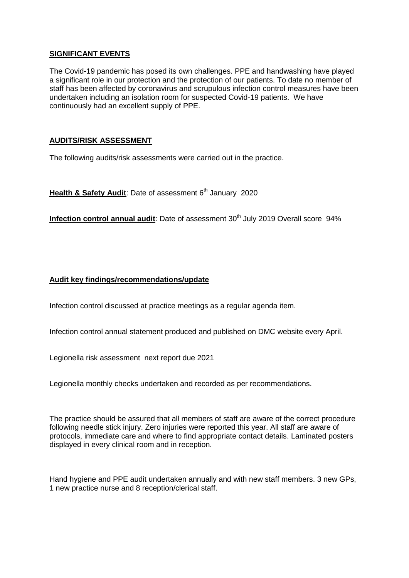### **SIGNIFICANT EVENTS**

The Covid-19 pandemic has posed its own challenges. PPE and handwashing have played a significant role in our protection and the protection of our patients. To date no member of staff has been affected by coronavirus and scrupulous infection control measures have been undertaken including an isolation room for suspected Covid-19 patients. We have continuously had an excellent supply of PPE.

### **AUDITS/RISK ASSESSMENT**

The following audits/risk assessments were carried out in the practice.

**Health & Safety Audit: Date of assessment 6<sup>th</sup> January 2020** 

**Infection control annual audit:** Date of assessment 30<sup>th</sup> July 2019 Overall score 94%

#### **Audit key findings/recommendations/update**

Infection control discussed at practice meetings as a regular agenda item.

Infection control annual statement produced and published on DMC website every April.

Legionella risk assessment next report due 2021

Legionella monthly checks undertaken and recorded as per recommendations.

The practice should be assured that all members of staff are aware of the correct procedure following needle stick injury. Zero injuries were reported this year. All staff are aware of protocols, immediate care and where to find appropriate contact details. Laminated posters displayed in every clinical room and in reception.

Hand hygiene and PPE audit undertaken annually and with new staff members. 3 new GPs, 1 new practice nurse and 8 reception/clerical staff.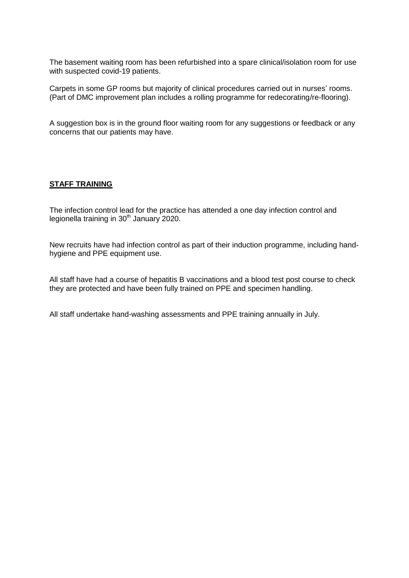The basement waiting room has been refurbished into a spare clinical/isolation room for use with suspected covid-19 patients.

Carpets in some GP rooms but majority of clinical procedures carried out in nurses' rooms. (Part of DMC improvement plan includes a rolling programme for redecorating/re-flooring).

A suggestion box is in the ground floor waiting room for any suggestions or feedback or any concerns that our patients may have.

#### **STAFF TRAINING**

The infection control lead for the practice has attended a one day infection control and legionella training in 30<sup>th</sup> January 2020.

New recruits have had infection control as part of their induction programme, including handhygiene and PPE equipment use.

All staff have had a course of hepatitis B vaccinations and a blood test post course to check they are protected and have been fully trained on PPE and specimen handling.

All staff undertake hand-washing assessments and PPE training annually in July.